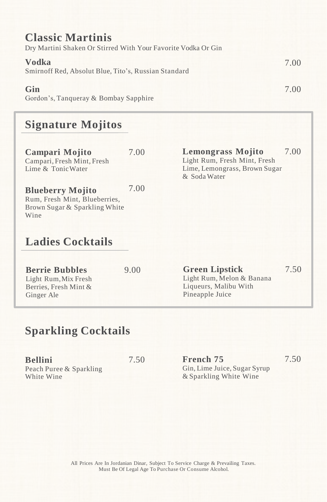| <b>Classic Martinis</b>                                       |      |
|---------------------------------------------------------------|------|
| Dry Martini Shaken Or Stirred With Your Favorite Vodka Or Gin |      |
| Vodka<br>Smirnoff Red, Absolut Blue, Tito's, Russian Standard | 7.00 |
| Gin<br>Gordon's, Tangueray & Bombay Sapphire                  | 7.00 |

# **Signature Mojitos**

| Campari Mojito<br>Campari, Fresh Mint, Fresh<br>Lime & Tonic Water                                | 7.00 | <b>Lemongrass Mojito</b><br>Light Rum, Fresh Mint, Fresh<br>Lime, Lemongrass, Brown Sugar<br>& Soda Water | 7.00 |
|---------------------------------------------------------------------------------------------------|------|-----------------------------------------------------------------------------------------------------------|------|
| <b>Blueberry Mojito</b><br>Rum, Fresh Mint, Blueberries,<br>Brown Sugar & Sparkling White<br>Wine | 7.00 |                                                                                                           |      |
| <b>Ladies Cocktails</b>                                                                           |      |                                                                                                           |      |
| <b>Berrie Bubbles</b><br>Light Rum, Mix Fresh<br>Berries, Fresh Mint &<br>Ginger Ale              | 9.00 | <b>Green Lipstick</b><br>Light Rum, Melon & Banana<br>Liqueurs, Malibu With<br>Pineapple Juice            | 7.50 |

# **Sparkling Cocktails**

| <b>Bellini</b>          |  |
|-------------------------|--|
| Peach Puree & Sparkling |  |
| White Wine              |  |

7.50 **French 75** Gin, Lime Juice, Sugar Syrup & Sparkling White Wine

7.50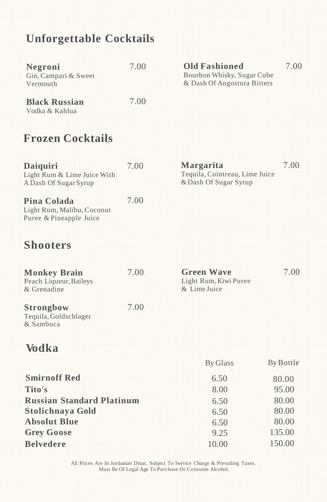### **Unforgettable Cocktails**

| Negroni<br>Gin, Campari & Sweet<br>Vermouth | 7.00 | <b>Old Fashioned</b><br>Bourbon Whisky, Sugar Cube<br>& Dash Of Angostura Bitters | 7.00 |
|---------------------------------------------|------|-----------------------------------------------------------------------------------|------|
| <b>Black Russian</b><br>Vodka & Kahlua      | 7.00 |                                                                                   |      |

## **Frozen Cocktails**

| <b>Daiquiri</b><br>Light Rum & Lime Juice With<br>A Dash Of Sugar Syrup | 7.00 | Margarita<br>Tequila, Cointreau, Lime Juice<br>& Dash Of Sugar Syrup | 7.00 |
|-------------------------------------------------------------------------|------|----------------------------------------------------------------------|------|
| Pina Colada<br>Light Rum, Malibu, Coconut<br>Puree & Pineapple Juice    | 7.00 |                                                                      |      |

### **Shooters**

| <b>Monkey Brain</b><br>Peach Liqueur, Baileys<br>& Grenadine | 7.00 | <b>Green Wave</b><br>Light Rum, Kiwi Puree<br>& Lime Juice | 7.00 |
|--------------------------------------------------------------|------|------------------------------------------------------------|------|
| <b>Strongbow</b><br>Tequila, Goldschlager<br>& Sambuca       | 7.00 |                                                            |      |

## **Vodka**

|                                  | By Glass | By Bottle |
|----------------------------------|----------|-----------|
| <b>Smirnoff Red</b>              | 6.50     | 80.00     |
| Tito's                           | 8.00     | 95.00     |
| <b>Russian Standard Platinum</b> | 6.50     | 80.00     |
| <b>Stolichnaya Gold</b>          | 6.50     | 80.00     |
| <b>Absolut Blue</b>              | 6.50     | 80.00     |
| <b>Grey Goose</b>                | 9.25     | 135.00    |
| <b>Belvedere</b>                 | 10.00    | 150.00    |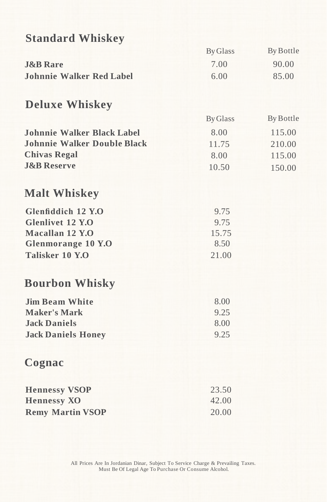| <b>Standard Whiskey</b>            |                 |           |
|------------------------------------|-----------------|-----------|
|                                    | <b>By Glass</b> | By Bottle |
| <b>J&amp;B</b> Rare                | 7.00            | 90.00     |
| <b>Johnnie Walker Red Label</b>    | 6.00            | 85.00     |
| <b>Deluxe Whiskey</b>              |                 |           |
|                                    | <b>By Glass</b> | By Bottle |
| Johnnie Walker Black Label         | 8.00            | 115.00    |
| <b>Johnnie Walker Double Black</b> | 11.75           | 210.00    |
| <b>Chivas Regal</b>                | 8.00            | 115.00    |
| <b>J&amp;B Reserve</b>             | 10.50           | 150.00    |
| <b>Malt Whiskey</b>                |                 |           |
| Glenfiddich 12 Y.O                 | 9.75            |           |
| <b>Glenlivet 12 Y.O</b>            | 9.75            |           |
| Macallan 12 Y.O                    | 15.75           |           |
| Glenmorange 10 Y.O                 | 8.50            |           |
| Talisker 10 Y.O                    | 21.00           |           |
| <b>Bourbon Whisky</b>              |                 |           |
| <b>Jim Beam White</b>              | 8.00            |           |
| <b>Maker's Mark</b>                | 9.25            |           |
| <b>Jack Daniels</b>                | 8.00            |           |
| <b>Jack Daniels Honey</b>          | 9.25            |           |
| Cognac                             |                 |           |
| <b>Hennessy VSOP</b>               | 23.50           |           |
| <b>Hennessy XO</b>                 | 42.00           |           |
| <b>Remy Martin VSOP</b>            | 20.00           |           |
|                                    |                 |           |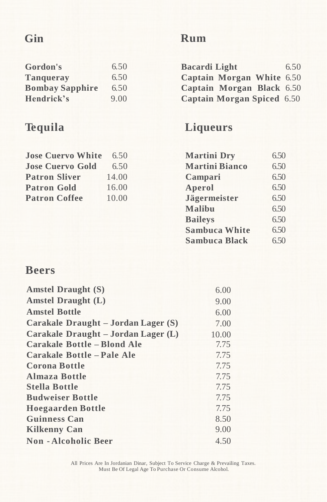### **Gin**

#### **Gordon's Tanqueray Bombay Sapphire Hendrick's** 6.50 6.50 6.50 9.00

### **Tequila**

**Jose Cuervo White Jose Cuervo Gold Patron Sliver Patron Gold Patron Coffee**

| <b>Bacardi</b> Light       | 6.50 |
|----------------------------|------|
| Captain Morgan White 6.50  |      |
| Captain Morgan Black 6.50  |      |
| Captain Morgan Spiced 6.50 |      |

### **Liqueurs**

| <b>Martini Dry</b>    | 6.50 |
|-----------------------|------|
| <b>Martini Bianco</b> | 6.50 |
| Campari               | 6.50 |
| Aperol                | 6.50 |
| Jägermeister          | 6.50 |
| Malibu                | 6.50 |
| <b>Baileys</b>        | 6.50 |
| <b>Sambuca White</b>  | 6.50 |
| <b>Sambuca Black</b>  | 6.50 |

### **Beers**

| <b>Amstel Draught (S)</b>           | 6.00  |
|-------------------------------------|-------|
| Amstel Draught $(L)$                | 9.00  |
| <b>Amstel Bottle</b>                | 6.00  |
| Carakale Draught – Jordan Lager (S) | 7.00  |
| Carakale Draught – Jordan Lager (L) | 10.00 |
| Carakale Bottle – Blond Ale         | 7.75  |
| Carakale Bottle - Pale Ale          | 7.75  |
| <b>Corona Bottle</b>                | 7.75  |
| <b>Almaza Bottle</b>                | 7.75  |
| <b>Stella Bottle</b>                | 7.75  |
| <b>Budweiser Bottle</b>             | 7.75  |
| <b>Hoegaarden Bottle</b>            | 7.75  |
| <b>Guinness Can</b>                 | 8.50  |
| <b>Kilkenny Can</b>                 | 9.00  |
| <b>Non-Alcoholic Beer</b>           | 4.50  |
|                                     |       |

6.50 6.50 14.00 16.00 10.00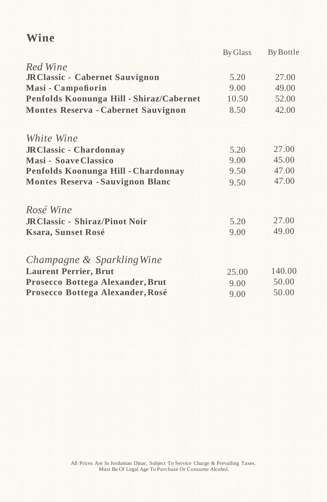### **Wine**

|                                          | By Glass | By Bottle |
|------------------------------------------|----------|-----------|
| Red Wine                                 |          |           |
| JRClassic - Cabernet Sauvignon           | 5.20     | 27.00     |
| Masi - Campofiorin                       | 9.00     | 49.00     |
| Penfolds Koonunga Hill - Shiraz/Cabernet | 10.50    | 52.00     |
| Montes Reserva - Cabernet Sauvignon      | 8.50     | 42.00     |
| <i>White Wine</i>                        |          |           |
| <b>JRClassic - Chardonnay</b>            | 5.20     | 27.00     |
| <b>Masi - Soave Classico</b>             | 9.00     | 45.00     |
| Penfolds Koonunga Hill - Chardonnay      | 9.50     | 47.00     |
| <b>Montes Reserva - Sauvignon Blanc</b>  | 9.50     | 47.00     |
| Rosé Wine                                |          |           |
| <b>JRClassic - Shiraz/Pinot Noir</b>     | 5.20     | 27.00     |
| <b>Ksara, Sunset Rosé</b>                | 9.00     | 49.00     |
| Champagne & Sparkling Wine               |          |           |
| <b>Laurent Perrier, Brut</b>             | 25.00    | 140.00    |
| Prosecco Bottega Alexander, Brut         | 9.00     | 50.00     |
| Prosecco Bottega Alexander, Rosé         | 9.00     | 50.00     |